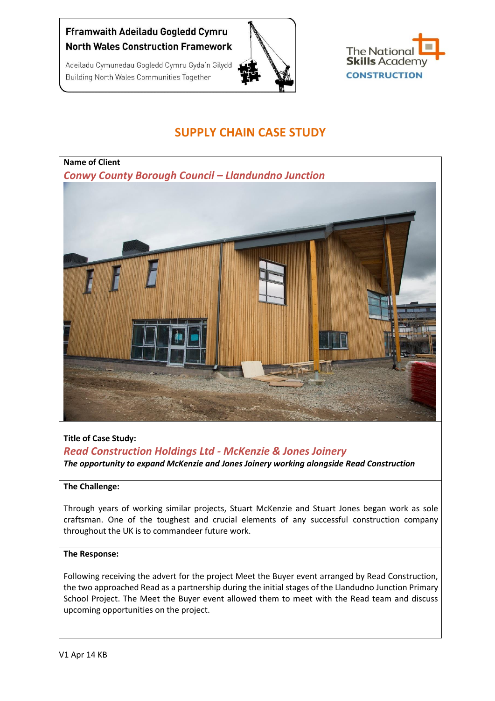# Fframwaith Adeiladu Gogledd Cymru **North Wales Construction Framework**

Adeiladu Cymunedau Gogledd Cymru Gyda'n Gilydd

**Building North Wales Communities Together** 





# **SUPPLY CHAIN CASE STUDY**



## **Title of Case Study:**

*Read Construction Holdings Ltd - McKenzie & Jones Joinery The opportunity to expand McKenzie and Jones Joinery working alongside Read Construction*

### **The Challenge:**

Through years of working similar projects, Stuart McKenzie and Stuart Jones began work as sole craftsman. One of the toughest and crucial elements of any successful construction company throughout the UK is to commandeer future work.

#### **The Response:**

Following receiving the advert for the project Meet the Buyer event arranged by Read Construction, the two approached Read as a partnership during the initial stages of the Llandudno Junction Primary School Project. The Meet the Buyer event allowed them to meet with the Read team and discuss upcoming opportunities on the project.